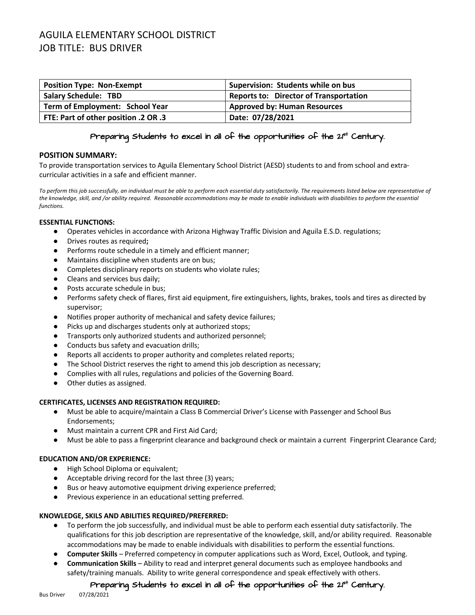# AGUILA ELEMENTARY SCHOOL DISTRICT JOB TITLE: BUS DRIVER

| <b>Position Type: Non-Exempt</b>            | Supervision: Students while on bus            |
|---------------------------------------------|-----------------------------------------------|
| <b>Salary Schedule: TBD</b>                 | <b>Reports to: Director of Transportation</b> |
| Term of Employment: School Year             | <b>Approved by: Human Resources</b>           |
| <b>FTE: Part of other position .2 OR .3</b> | Date: 07/28/2021                              |

### Preparing students to excel in all of the opportunities of the  $2^{st}$  Century.

#### **POSITION SUMMARY:**

To provide transportation services to Aguila Elementary School District (AESD) students to and from school and extracurricular activities in a safe and efficient manner.

*To perform this job successfully, an individual must be able to perform each essential duty satisfactorily. The requirements listed below are representative of the knowledge, skill, and /or ability required. Reasonable accommodations may be made to enable individuals with disabilities to perform the essential functions.*

#### **ESSENTIAL FUNCTIONS:**

- Operates vehicles in accordance with Arizona Highway Traffic Division and Aguila E.S.D. regulations;
- Drives routes as required**;**
- Performs route schedule in a timely and efficient manner;
- Maintains discipline when students are on bus;
- Completes disciplinary reports on students who violate rules;
- Cleans and services bus daily;
- Posts accurate schedule in bus;
- Performs safety check of flares, first aid equipment, fire extinguishers, lights, brakes, tools and tires as directed by supervisor;
- Notifies proper authority of mechanical and safety device failures;
- Picks up and discharges students only at authorized stops;
- Transports only authorized students and authorized personnel;
- Conducts bus safety and evacuation drills;
- Reports all accidents to proper authority and completes related reports;
- The School District reserves the right to amend this job description as necessary;
- Complies with all rules, regulations and policies of the Governing Board.
- Other duties as assigned.

#### **CERTIFICATES, LICENSES AND REGISTRATION REQUIRED:**

- Must be able to acquire/maintain a Class B Commercial Driver's License with Passenger and School Bus Endorsements;
- Must maintain a current CPR and First Aid Card;
- Must be able to pass a fingerprint clearance and background check or maintain a current Fingerprint Clearance Card;

### **EDUCATION AND/OR EXPERIENCE:**

- High School Diploma or equivalent;
- Acceptable driving record for the last three (3) years;
- Bus or heavy automotive equipment driving experience preferred;
- Previous experience in an educational setting preferred.

#### **KNOWLEDGE, SKILS AND ABILITIES REQUIRED/PREFERRED:**

- To perform the job successfully, and individual must be able to perform each essential duty satisfactorily. The qualifications for this job description are representative of the knowledge, skill, and/or ability required. Reasonable accommodations may be made to enable individuals with disabilities to perform the essential functions.
- **Computer Skills** Preferred competency in computer applications such as Word, Excel, Outlook, and typing.
- **Communication Skills** Ability to read and interpret general documents such as employee handbooks and safety/training manuals. Ability to write general correspondence and speak effectively with others.

## Preparing Students to excel in all of the opportunities of the 21<sup>st</sup> Century.